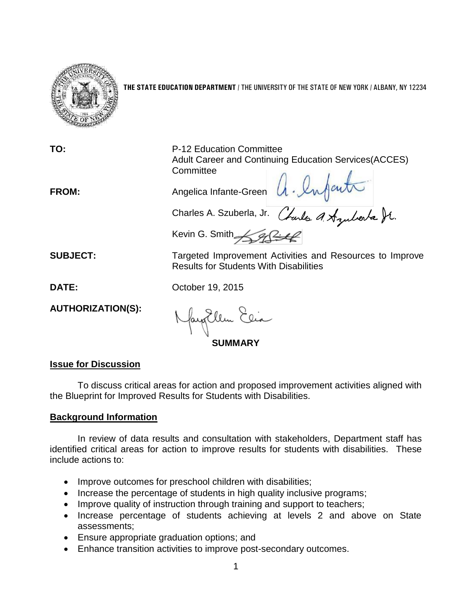

**THE STATE EDUCATION DEPARTMENT** / THE UNIVERSITY OF THE STATE OF NEW YORK / ALBANY, NY 12234

**TO:** P-12 Education Committee Adult Career and Continuing Education Services(ACCES) **Committee FROM:** Angelica Infante-Green

Charles A. Szuberla, Jr.

Kevin G. Smith  $\mathscr{B}$ 

**SUBJECT:** Targeted Improvement Activities and Resources to Improve Results for Students With Disabilities

**DATE:** October 19, 2015

**AUTHORIZATION(S):**

Nayollem Elia

**SUMMARY**

### **Issue for Discussion**

To discuss critical areas for action and proposed improvement activities aligned with the Blueprint for Improved Results for Students with Disabilities.

# **Background Information**

In review of data results and consultation with stakeholders, Department staff has identified critical areas for action to improve results for students with disabilities.These include actions to:

- Improve outcomes for preschool children with disabilities;
- Increase the percentage of students in high quality inclusive programs;
- Improve quality of instruction through training and support to teachers;
- Increase percentage of students achieving at levels 2 and above on State assessments;
- Ensure appropriate graduation options; and
- Enhance transition activities to improve post-secondary outcomes.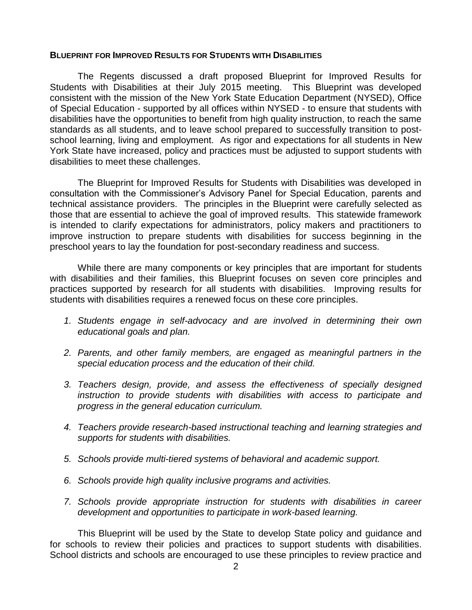#### **BLUEPRINT FOR IMPROVED RESULTS FOR STUDENTS WITH DISABILITIES**

The Regents discussed a draft proposed Blueprint for Improved Results for Students with Disabilities at their July 2015 meeting. This Blueprint was developed consistent with the mission of the New York State Education Department (NYSED), Office of Special Education - supported by all offices within NYSED - to ensure that students with disabilities have the opportunities to benefit from high quality instruction, to reach the same standards as all students, and to leave school prepared to successfully transition to postschool learning, living and employment. As rigor and expectations for all students in New York State have increased, policy and practices must be adjusted to support students with disabilities to meet these challenges.

The Blueprint for Improved Results for Students with Disabilities was developed in consultation with the Commissioner's Advisory Panel for Special Education, parents and technical assistance providers. The principles in the Blueprint were carefully selected as those that are essential to achieve the goal of improved results. This statewide framework is intended to clarify expectations for administrators, policy makers and practitioners to improve instruction to prepare students with disabilities for success beginning in the preschool years to lay the foundation for post-secondary readiness and success.

While there are many components or key principles that are important for students with disabilities and their families, this Blueprint focuses on seven core principles and practices supported by research for all students with disabilities. Improving results for students with disabilities requires a renewed focus on these core principles.

- *1. Students engage in self-advocacy and are involved in determining their own educational goals and plan.*
- *2. Parents, and other family members, are engaged as meaningful partners in the special education process and the education of their child.*
- *3. Teachers design, provide, and assess the effectiveness of specially designed instruction to provide students with disabilities with access to participate and progress in the general education curriculum.*
- *4. Teachers provide research-based instructional teaching and learning strategies and supports for students with disabilities.*
- *5. Schools provide multi-tiered systems of behavioral and academic support.*
- *6. Schools provide high quality inclusive programs and activities.*
- *7. Schools provide appropriate instruction for students with disabilities in career development and opportunities to participate in work-based learning.*

This Blueprint will be used by the State to develop State policy and guidance and for schools to review their policies and practices to support students with disabilities. School districts and schools are encouraged to use these principles to review practice and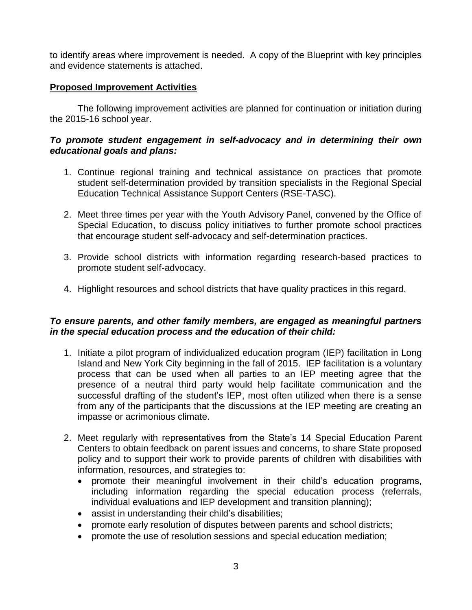to identify areas where improvement is needed. A copy of the Blueprint with key principles and evidence statements is attached.

### **Proposed Improvement Activities**

The following improvement activities are planned for continuation or initiation during the 2015-16 school year.

### *To promote student engagement in self-advocacy and in determining their own educational goals and plans:*

- 1. Continue regional training and technical assistance on practices that promote student self-determination provided by transition specialists in the Regional Special Education Technical Assistance Support Centers (RSE-TASC).
- 2. Meet three times per year with the Youth Advisory Panel, convened by the Office of Special Education, to discuss policy initiatives to further promote school practices that encourage student self-advocacy and self-determination practices.
- 3. Provide school districts with information regarding research-based practices to promote student self-advocacy.
- 4. Highlight resources and school districts that have quality practices in this regard.

### *To ensure parents, and other family members, are engaged as meaningful partners in the special education process and the education of their child:*

- 1. Initiate a pilot program of individualized education program (IEP) facilitation in Long Island and New York City beginning in the fall of 2015. IEP facilitation is a voluntary process that can be used when all parties to an IEP meeting agree that the presence of a neutral third party would help facilitate communication and the successful drafting of the student's IEP, most often utilized when there is a sense from any of the participants that the discussions at the IEP meeting are creating an impasse or acrimonious climate.
- 2. Meet regularly with representatives from the State's 14 Special Education Parent Centers to obtain feedback on parent issues and concerns, to share State proposed policy and to support their work to provide parents of children with disabilities with information, resources, and strategies to:
	- promote their meaningful involvement in their child's education programs, including information regarding the special education process (referrals, individual evaluations and IEP development and transition planning);
	- assist in understanding their child's disabilities;
	- promote early resolution of disputes between parents and school districts;
	- promote the use of resolution sessions and special education mediation;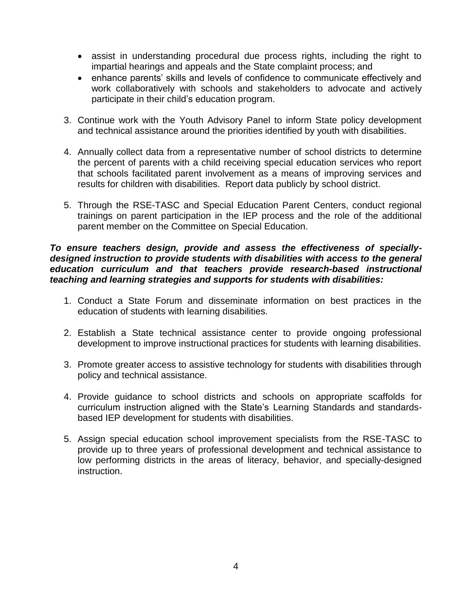- assist in understanding procedural due process rights, including the right to impartial hearings and appeals and the State complaint process; and
- enhance parents' skills and levels of confidence to communicate effectively and work collaboratively with schools and stakeholders to advocate and actively participate in their child's education program.
- 3. Continue work with the Youth Advisory Panel to inform State policy development and technical assistance around the priorities identified by youth with disabilities.
- 4. Annually collect data from a representative number of school districts to determine the percent of parents with a child receiving special education services who report that schools facilitated parent involvement as a means of improving services and results for children with disabilities. Report data publicly by school district.
- 5. Through the RSE-TASC and Special Education Parent Centers, conduct regional trainings on parent participation in the IEP process and the role of the additional parent member on the Committee on Special Education.

### *To ensure teachers design, provide and assess the effectiveness of speciallydesigned instruction to provide students with disabilities with access to the general education curriculum and that teachers provide research-based instructional teaching and learning strategies and supports for students with disabilities:*

- 1. Conduct a State Forum and disseminate information on best practices in the education of students with learning disabilities.
- 2. Establish a State technical assistance center to provide ongoing professional development to improve instructional practices for students with learning disabilities.
- 3. Promote greater access to assistive technology for students with disabilities through policy and technical assistance.
- 4. Provide guidance to school districts and schools on appropriate scaffolds for curriculum instruction aligned with the State's Learning Standards and standardsbased IEP development for students with disabilities.
- 5. Assign special education school improvement specialists from the RSE-TASC to provide up to three years of professional development and technical assistance to low performing districts in the areas of literacy, behavior, and specially-designed instruction.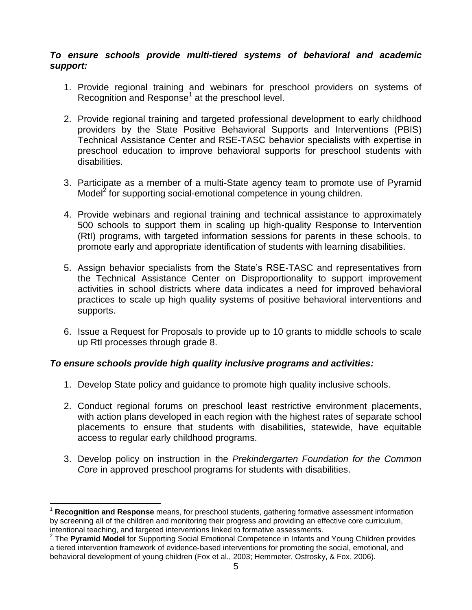### *To ensure schools provide multi-tiered systems of behavioral and academic support:*

- 1. Provide regional training and webinars for preschool providers on systems of Recognition and Response<sup>1</sup> at the preschool level.
- 2. Provide regional training and targeted professional development to early childhood providers by the State Positive Behavioral Supports and Interventions (PBIS) Technical Assistance Center and RSE-TASC behavior specialists with expertise in preschool education to improve behavioral supports for preschool students with disabilities.
- 3. Participate as a member of a multi-State agency team to promote use of Pyramid Model<sup>2</sup> for supporting social-emotional competence in young children.
- 4. Provide webinars and regional training and technical assistance to approximately 500 schools to support them in scaling up high-quality Response to Intervention (RtI) programs, with targeted information sessions for parents in these schools, to promote early and appropriate identification of students with learning disabilities.
- 5. Assign behavior specialists from the State's RSE-TASC and representatives from the Technical Assistance Center on Disproportionality to support improvement activities in school districts where data indicates a need for improved behavioral practices to scale up high quality systems of positive behavioral interventions and supports.
- 6. Issue a Request for Proposals to provide up to 10 grants to middle schools to scale up RtI processes through grade 8.

# *To ensure schools provide high quality inclusive programs and activities:*

- 1. Develop State policy and guidance to promote high quality inclusive schools.
- 2. Conduct regional forums on preschool least restrictive environment placements, with action plans developed in each region with the highest rates of separate school placements to ensure that students with disabilities, statewide, have equitable access to regular early childhood programs.
- 3. Develop policy on instruction in the *Prekindergarten Foundation for the Common Core* in approved preschool programs for students with disabilities.

l <sup>1</sup> **Recognition and Response** means, for preschool students, gathering formative assessment information by screening all of the children and monitoring their progress and providing an effective core curriculum, intentional teaching, and targeted interventions linked to formative assessments.

<sup>2</sup> The **Pyramid Model** for Supporting Social Emotional Competence in Infants and Young Children provides a tiered intervention framework of evidence‐based interventions for promoting the social, emotional, and behavioral development of young children (Fox et al., 2003; Hemmeter, Ostrosky, & Fox, 2006).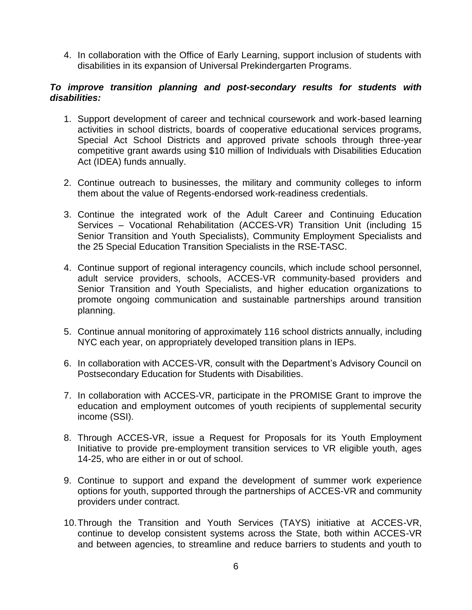4. In collaboration with the Office of Early Learning, support inclusion of students with disabilities in its expansion of Universal Prekindergarten Programs.

### *To improve transition planning and post-secondary results for students with disabilities:*

- 1. Support development of career and technical coursework and work-based learning activities in school districts, boards of cooperative educational services programs, Special Act School Districts and approved private schools through three-year competitive grant awards using \$10 million of Individuals with Disabilities Education Act (IDEA) funds annually.
- 2. Continue outreach to businesses, the military and community colleges to inform them about the value of Regents-endorsed work-readiness credentials.
- 3. Continue the integrated work of the Adult Career and Continuing Education Services – Vocational Rehabilitation (ACCES-VR) Transition Unit (including 15 Senior Transition and Youth Specialists), Community Employment Specialists and the 25 Special Education Transition Specialists in the RSE-TASC.
- 4. Continue support of regional interagency councils, which include school personnel, adult service providers, schools, ACCES-VR community-based providers and Senior Transition and Youth Specialists, and higher education organizations to promote ongoing communication and sustainable partnerships around transition planning.
- 5. Continue annual monitoring of approximately 116 school districts annually, including NYC each year, on appropriately developed transition plans in IEPs.
- 6. In collaboration with ACCES-VR, consult with the Department's Advisory Council on Postsecondary Education for Students with Disabilities.
- 7. In collaboration with ACCES-VR, participate in the PROMISE Grant to improve the education and employment outcomes of youth recipients of supplemental security income (SSI).
- 8. Through ACCES-VR, issue a Request for Proposals for its Youth Employment Initiative to provide pre-employment transition services to VR eligible youth, ages 14-25, who are either in or out of school.
- 9. Continue to support and expand the development of summer work experience options for youth, supported through the partnerships of ACCES-VR and community providers under contract.
- 10.Through the Transition and Youth Services (TAYS) initiative at ACCES-VR, continue to develop consistent systems across the State, both within ACCES-VR and between agencies, to streamline and reduce barriers to students and youth to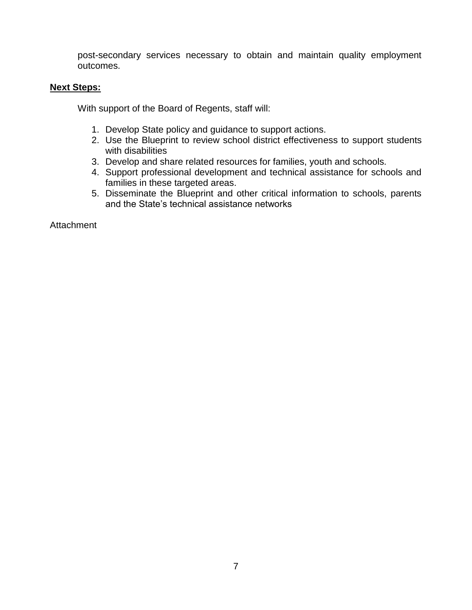post-secondary services necessary to obtain and maintain quality employment outcomes.

### **Next Steps:**

With support of the Board of Regents, staff will:

- 1. Develop State policy and guidance to support actions.
- 2. Use the Blueprint to review school district effectiveness to support students with disabilities
- 3. Develop and share related resources for families, youth and schools.
- 4. Support professional development and technical assistance for schools and families in these targeted areas.
- 5. Disseminate the Blueprint and other critical information to schools, parents and the State's technical assistance networks

**Attachment**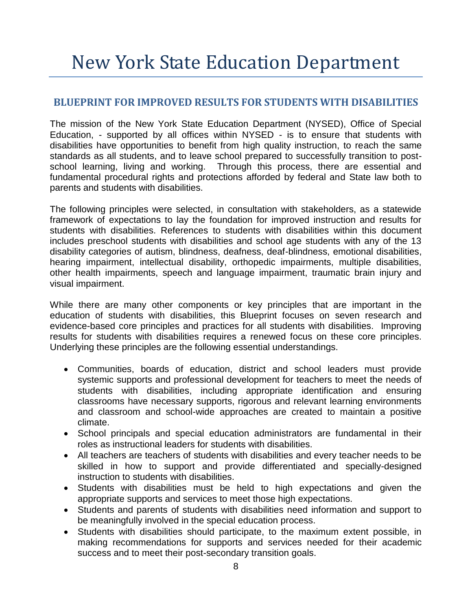# New York State Education Department

# **BLUEPRINT FOR IMPROVED RESULTS FOR STUDENTS WITH DISABILITIES**

The mission of the New York State Education Department (NYSED), Office of Special Education, - supported by all offices within NYSED - is to ensure that students with disabilities have opportunities to benefit from high quality instruction, to reach the same standards as all students, and to leave school prepared to successfully transition to postschool learning, living and working. Through this process, there are essential and fundamental procedural rights and protections afforded by federal and State law both to parents and students with disabilities.

The following principles were selected, in consultation with stakeholders, as a statewide framework of expectations to lay the foundation for improved instruction and results for students with disabilities. References to students with disabilities within this document includes preschool students with disabilities and school age students with any of the 13 disability categories of autism, blindness, deafness, deaf-blindness, emotional disabilities, hearing impairment, intellectual disability, orthopedic impairments, multiple disabilities, other health impairments, speech and language impairment, traumatic brain injury and visual impairment.

While there are many other components or key principles that are important in the education of students with disabilities, this Blueprint focuses on seven research and evidence-based core principles and practices for all students with disabilities. Improving results for students with disabilities requires a renewed focus on these core principles. Underlying these principles are the following essential understandings.

- Communities, boards of education, district and school leaders must provide systemic supports and professional development for teachers to meet the needs of students with disabilities, including appropriate identification and ensuring classrooms have necessary supports, rigorous and relevant learning environments and classroom and school-wide approaches are created to maintain a positive climate.
- School principals and special education administrators are fundamental in their roles as instructional leaders for students with disabilities.
- All teachers are teachers of students with disabilities and every teacher needs to be skilled in how to support and provide differentiated and specially-designed instruction to students with disabilities.
- Students with disabilities must be held to high expectations and given the appropriate supports and services to meet those high expectations.
- Students and parents of students with disabilities need information and support to be meaningfully involved in the special education process.
- Students with disabilities should participate, to the maximum extent possible, in making recommendations for supports and services needed for their academic success and to meet their post-secondary transition goals.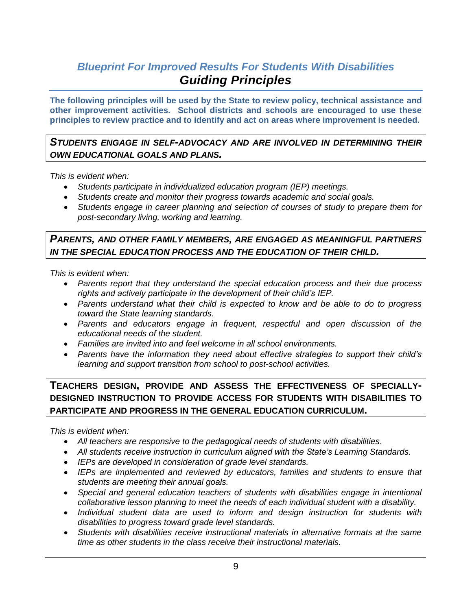# *Blueprint For Improved Results For Students With Disabilities Guiding Principles*

**The following principles will be used by the State to review policy, technical assistance and other improvement activities. School districts and schools are encouraged to use these principles to review practice and to identify and act on areas where improvement is needed.** 

### *STUDENTS ENGAGE IN SELF-ADVOCACY AND ARE INVOLVED IN DETERMINING THEIR OWN EDUCATIONAL GOALS AND PLANS.*

*This is evident when:*

- *Students participate in individualized education program (IEP) meetings.*
- *Students create and monitor their progress towards academic and social goals.*
- *Students engage in career planning and selection of courses of study to prepare them for post-secondary living, working and learning.*

# *PARENTS, AND OTHER FAMILY MEMBERS, ARE ENGAGED AS MEANINGFUL PARTNERS IN THE SPECIAL EDUCATION PROCESS AND THE EDUCATION OF THEIR CHILD.*

*This is evident when:*

- *Parents report that they understand the special education process and their due process rights and actively participate in the development of their child's IEP.*
- *Parents understand what their child is expected to know and be able to do to progress toward the State learning standards.*
- *Parents and educators engage in frequent, respectful and open discussion of the educational needs of the student.*
- *Families are invited into and feel welcome in all school environments.*
- *Parents have the information they need about effective strategies to support their child's learning and support transition from school to post-school activities.*

# **TEACHERS DESIGN, PROVIDE AND ASSESS THE EFFECTIVENESS OF SPECIALLY-DESIGNED INSTRUCTION TO PROVIDE ACCESS FOR STUDENTS WITH DISABILITIES TO PARTICIPATE AND PROGRESS IN THE GENERAL EDUCATION CURRICULUM.**

*This is evident when:*

- *All teachers are responsive to the pedagogical needs of students with disabilities*.
- *All students receive instruction in curriculum aligned with the State's Learning Standards.*
- *IEPs are developed in consideration of grade level standards.*
- *IEPs are implemented and reviewed by educators, families and students to ensure that students are meeting their annual goals.*
- *Special and general education teachers of students with disabilities engage in intentional collaborative lesson planning to meet the needs of each individual student with a disability.*
- *Individual student data are used to inform and design instruction for students with disabilities to progress toward grade level standards.*
- *Students with disabilities receive instructional materials in alternative formats at the same time as other students in the class receive their instructional materials.*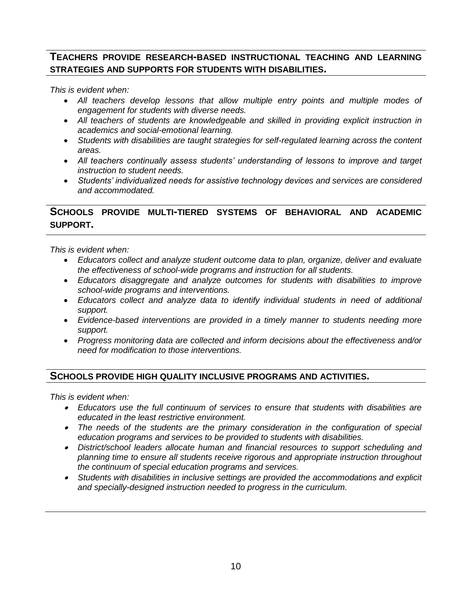# **TEACHERS PROVIDE RESEARCH-BASED INSTRUCTIONAL TEACHING AND LEARNING STRATEGIES AND SUPPORTS FOR STUDENTS WITH DISABILITIES.**

*This is evident when:*

- *All teachers develop lessons that allow multiple entry points and multiple modes of engagement for students with diverse needs.*
- *All teachers of students are knowledgeable and skilled in providing explicit instruction in academics and social-emotional learning.*
- *Students with disabilities are taught strategies for self-regulated learning across the content areas.*
- *All teachers continually assess students' understanding of lessons to improve and target instruction to student needs.*
- *Students' individualized needs for assistive technology devices and services are considered and accommodated.*

# **SCHOOLS PROVIDE MULTI-TIERED SYSTEMS OF BEHAVIORAL AND ACADEMIC SUPPORT.**

*This is evident when:*

- *Educators collect and analyze student outcome data to plan, organize, deliver and evaluate the effectiveness of school-wide programs and instruction for all students.*
- *Educators disaggregate and analyze outcomes for students with disabilities to improve school-wide programs and interventions.*
- *Educators collect and analyze data to identify individual students in need of additional support.*
- *Evidence-based interventions are provided in a timely manner to students needing more support.*
- *Progress monitoring data are collected and inform decisions about the effectiveness and/or need for modification to those interventions.*

### **SCHOOLS PROVIDE HIGH QUALITY INCLUSIVE PROGRAMS AND ACTIVITIES.**

*This is evident when:*

- *Educators use the full continuum of services to ensure that students with disabilities are educated in the least restrictive environment.*
- *The needs of the students are the primary consideration in the configuration of special education programs and services to be provided to students with disabilities.*
- *District/school leaders allocate human and financial resources to support scheduling and planning time to ensure all students receive rigorous and appropriate instruction throughout the continuum of special education programs and services.*
- *Students with disabilities in inclusive settings are provided the accommodations and explicit and specially-designed instruction needed to progress in the curriculum.*